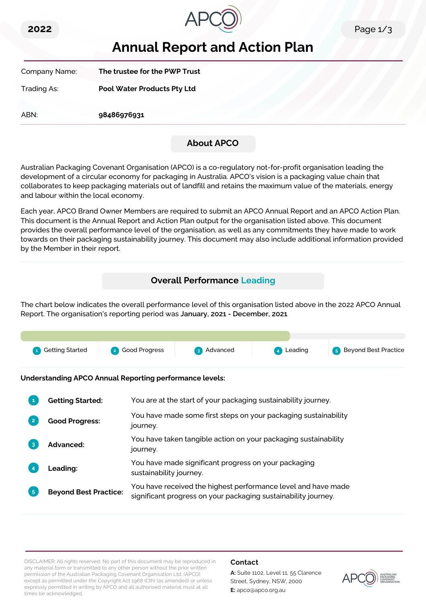



# **Annual Report and Action Plan**

Company Name: **The trustee for the PWP Trust** Trading As: **Pool Water Products Pty Ltd**

ABN: **98486976931**

# **About APCO**

Australian Packaging Covenant Organisation (APCO) is a co-regulatory not-for-profit organisation leading the development of a circular economy for packaging in Australia. APCO's vision is a packaging value chain that collaborates to keep packaging materials out of landfill and retains the maximum value of the materials, energy and labour within the local economy.

Each year, APCO Brand Owner Members are required to submit an APCO Annual Report and an APCO Action Plan. This document is the Annual Report and Action Plan output for the organisation listed above. This document provides the overall performance level of the organisation, as well as any commitments they have made to work towards on their packaging sustainability journey. This document may also include additional information provided by the Member in their report.

# **Overall Performance Leading**

The chart below indicates the overall performance level of this organisation listed above in the 2022 APCO Annual Report. The organisation's reporting period was **January, 2021 - December, 2021**.



**Understanding APCO Annual Reporting performance levels:**

|    | <b>Getting Started:</b>      | You are at the start of your packaging sustainability journey.                                                                  |
|----|------------------------------|---------------------------------------------------------------------------------------------------------------------------------|
|    | <b>Good Progress:</b>        | You have made some first steps on your packaging sustainability<br>journey.                                                     |
| 3  | Advanced:                    | You have taken tangible action on your packaging sustainability<br>journey.                                                     |
|    | <b>Leading:</b>              | You have made significant progress on your packaging<br>sustainability journey.                                                 |
| 5. | <b>Beyond Best Practice:</b> | You have received the highest performance level and have made<br>significant progress on your packaging sustainability journey. |

DISCLAIMER: All rights reserved. No part of this document may be reproduced in any material form or transmitted to any other person without the prior written permission of the Australian Packaging Covenant Organisation Ltd. (APCO) except as permitted under the Copyright Act 1968 (Cth) (as amended) or unless expressly permitted in writing by APCO and all authorised material must at all times be acknowledged.

## **Contact**

**A:** Suite 1102, Level 11, 55 Clarence Street, Sydney, NSW, 2000 **E:** apco@apco.org.au

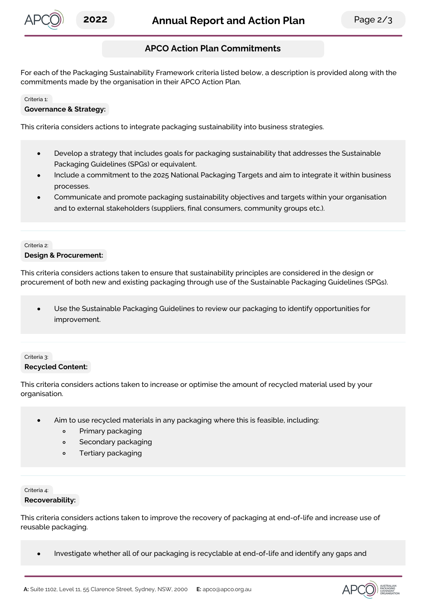

# **APCO Action Plan Commitments**

For each of the Packaging Sustainability Framework criteria listed below, a description is provided along with the commitments made by the organisation in their APCO Action Plan.

#### Criteria 1:

#### **Governance & Strategy:**

This criteria considers actions to integrate packaging sustainability into business strategies.

- Develop a strategy that includes goals for packaging sustainability that addresses the Sustainable  $\bullet$ Packaging Guidelines (SPGs) or equivalent.
- Include a commitment to the 2025 National Packaging Targets and aim to integrate it within business processes.
- Communicate and promote packaging sustainability objectives and targets within your organisation and to external stakeholders (suppliers, final consumers, community groups etc.).

#### Criteria 2:

#### **Design & Procurement:**

This criteria considers actions taken to ensure that sustainability principles are considered in the design or procurement of both new and existing packaging through use of the Sustainable Packaging Guidelines (SPGs).

Use the Sustainable Packaging Guidelines to review our packaging to identify opportunities for  $\bullet$ improvement.

## Criteria 3: **Recycled Content:**

This criteria considers actions taken to increase or optimise the amount of recycled material used by your organisation.

- Aim to use recycled materials in any packaging where this is feasible, including:
	- $\circ$ Primary packaging
	- Secondary packaging  $\circ$
	- Tertiary packaging  $\circ$

#### Criteria 4: **Recoverability:**

This criteria considers actions taken to improve the recovery of packaging at end-of-life and increase use of reusable packaging.

Investigate whether all of our packaging is recyclable at end-of-life and identify any gaps and